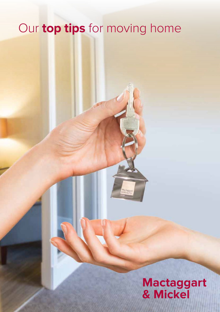# Our **top tips** for moving home

## **Mactaggart & Mickel**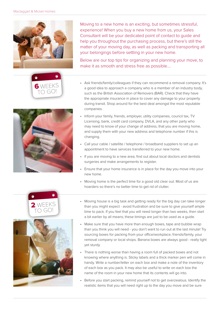



Moving to a new home is an exciting, but sometimes stressful, experience! When you buy a new home from us, your Sales Consultant will be your dedicated point of contact to guide and help you throughout the purchasing process, but there's still the matter of your moving day, as well as packing and transporting all your belongings before settling in your new home.

Below are our top tips for organizing and planning your move, to make it as smooth and stress free as possible….

- Ask friends/family/colleagues if they can recommend a removal company. It's a good idea to approach a company who is a member of an industry body, such as the British Association of Removers (BAR). Check that they have the appropriate insurance in place to cover any damage to your property during transit. Shop around for the best deal amongst the most reputable companies.
- Inform your family, friends, employer, utility companies, council tax, TV Licensing, bank, credit card company, DVLA, and any other party who may need to know of your change of address, that you are moving home, and supply them with your new address and telephone number if this is changing.
- Call your cable / satellite / telephone / broadband suppliers to set up an appointment to have services transferred to your new home.
- If you are moving to a new area, find out about local doctors and dentists surgeries and make arrangements to register.
- Ensure that your home insurance is in place for the day you move into your new home.
- Moving home is the perfect time for a good old clear out. Most of us are hoarders so there's no better time to get rid of clutter.





- Moving house is a big task and getting ready for the big day can take longer than you might expect - avoid frustration and be sure to give yourself ample time to pack. If you feel that you will need longer than two weeks, then start a bit earlier by all means; these timings are just to be used as a guide.
- Make sure that you have more than enough boxes, tape and bubble wrap than you think you will need - you don't want to run out at the last minute! Try sourcing boxes for packing from your office/workplace, friends/family, your removal company or local shops. Banana boxes are always good - really light yet sturdy.
- There is nothing worse than having a room full of packed boxes and not knowing where anything is. Sticky labels and a thick marker pen will come in handy. Write a number/letter on each box and make a note of the inventory of each box as you pack. It may also be useful to write on each box the name of the room in your new home that its contents will go into.
- Before you start packing, remind yourself not to get overzealous. Identify the realistic items that you will need right up to the day you move and be sure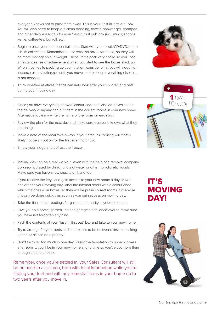and other daily essentials for your "last in, first out" box (incl. mugs, spoons, kettle, coffee/tea, loo roll, etc). • Begin to pack your non-essential items. Start with your book/CD/DVD/photo

album collections. Remember to use smallish boxes for these, so they will be more manageable in weight. These items pack very easily, so you'll feel an instant sense of achievement when you start to see the boxes stack up. When it comes to packing up your kitchen, consider what you will need (for instance plates/cutlery/pots) till you move, and pack up everything else that is not needed.

everyone knows not to pack them away. This is your "last in, first out" box. You will also need to keep out clean bedding, towels, shower gel, shampoo

- Think whether relatives/friends can help look after your children and pets during your moving day.
- Once you have everything packed, colour-code the labeled boxes so that the delivery company can put them in the correct rooms in your new home. Alternatively, clearly write the name of the room on each box.
- Review the plan for the next day and make sure everyone knows what they are doing.
- Make a note of the local take-aways in your area, as cooking will mostly likely not be an option for the first evening or two.
- • Empty your fridge and defrost the freezer.

• Moving day can be a real workout, even with the help of a removal company. So keep hydrated by drinking lots of water or other non-diuretic liquids. Make sure you have a few snacks on hand too!

- If you receive the keys and gain access to your new home a day or two earlier than your moving day, label the internal doors with a colour code which matches your boxes, so they will be put in correct rooms. Otherwise this can be done quickly as soon as you gain access on moving day.
- Take the final meter readings for gas and electricity in your old home.
- Give your old home, garden, loft and garage a final once-over to make sure you have not forgotten anything.
- Pack the contents of your "last in, first out" box and take to your new home.
- Try to arrange for your beds and mattresses to be delivered first, so making up the beds can be a priority.
- Don't try to do too much in one day! Resist the temptation to unpack boxes after 9pm….. you'll be in your new home a long time so you've got more than enough time to unpack.

Remember, once you're settled in, your Sales Consultant will still be on hand to assist you, both with local information while you're finding your feet and with any remedial items in your home up to two years after you move in.

#### IT'S MOVING DAY!